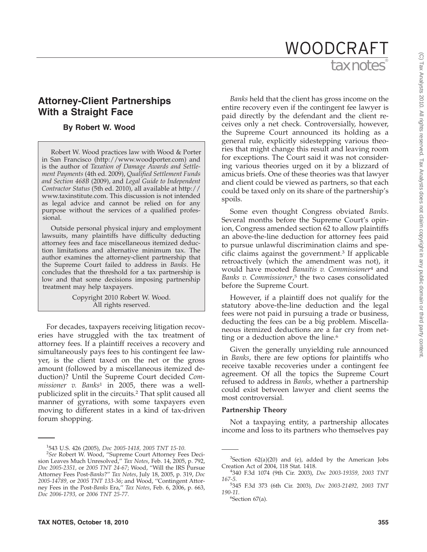# tax notes® WOODCRAFT

## **Attorney-Client Partnerships With a Straight Face**

## **By Robert W. Wood**

Robert W. Wood practices law with Wood & Porter in San Francisco (http://www.woodporter.com) and is the author of *Taxation of Damage Awards and Settlement Payments* (4th ed. 2009), *Qualified Settlement Funds and Section 468B* (2009), and *Legal Guide to Independent Contractor Status* (5th ed. 2010), all available at http:// www.taxinstitute.com. This discussion is not intended as legal advice and cannot be relied on for any purpose without the services of a qualified professional.

Outside personal physical injury and employment lawsuits, many plaintiffs have difficulty deducting attorney fees and face miscellaneous itemized deduction limitations and alternative minimum tax. The author examines the attorney-client partnership that the Supreme Court failed to address in *Banks*. He concludes that the threshold for a tax partnership is low and that some decisions imposing partnership treatment may help taxpayers.

> Copyright 2010 Robert W. Wood. All rights reserved.

For decades, taxpayers receiving litigation recoveries have struggled with the tax treatment of attorney fees. If a plaintiff receives a recovery and simultaneously pays fees to his contingent fee lawyer, is the client taxed on the net or the gross amount (followed by a miscellaneous itemized deduction)? Until the Supreme Court decided *Commissioner v. Banks*<sup>1</sup> in 2005, there was a wellpublicized split in the circuits.2 That split caused all manner of gyrations, with some taxpayers even moving to different states in a kind of tax-driven forum shopping.

*Banks* held that the client has gross income on the entire recovery even if the contingent fee lawyer is paid directly by the defendant and the client receives only a net check. Controversially, however, the Supreme Court announced its holding as a general rule, explicitly sidestepping various theories that might change this result and leaving room for exceptions. The Court said it was not considering various theories urged on it by a blizzard of amicus briefs. One of these theories was that lawyer and client could be viewed as partners, so that each could be taxed only on its share of the partnership's spoils.

Some even thought Congress obviated *Banks*. Several months before the Supreme Court's opinion, Congress amended section 62 to allow plaintiffs an above-the-line deduction for attorney fees paid to pursue unlawful discrimination claims and specific claims against the government.3 If applicable retroactively (which the amendment was not), it would have mooted *Banaitis v. Commissioner*<sup>4</sup> and *Banks v. Commissioner*, <sup>5</sup> the two cases consolidated before the Supreme Court.

However, if a plaintiff does not qualify for the statutory above-the-line deduction and the legal fees were not paid in pursuing a trade or business, deducting the fees can be a big problem. Miscellaneous itemized deductions are a far cry from netting or a deduction above the line.<sup>6</sup>

Given the generally unyielding rule announced in *Banks*, there are few options for plaintiffs who receive taxable recoveries under a contingent fee agreement. Of all the topics the Supreme Court refused to address in *Banks*, whether a partnership could exist between lawyer and client seems the most controversial.

### **Partnership Theory**

Not a taxpaying entity, a partnership allocates income and loss to its partners who themselves pay

 $6$ Section  $67$ (a).

<sup>&</sup>lt;sup>1</sup>543 U.S. 426 (2005), *Doc 2005-1418, 2005 TNT 15-10.*<br><sup>2</sup>See Robert W. Wood. "Supreme Court Attorney Fee

*See* Robert W. Wood, ''Supreme Court Attorney Fees Decision Leaves Much Unresolved,'' *Tax Notes*, Feb. 14, 2005, p. 792, *Doc 2005-2351,* or *2005 TNT 24-67*; Wood, ''Will the IRS Pursue Attorney Fees Post-*Banks*?'' *Tax Notes*, July 18, 2005, p. 319, *Doc 2005-14789,* or *2005 TNT 133-36*; and Wood, ''Contingent Attorney Fees in the Post-*Banks* Era,'' *Tax Notes*, Feb. 6, 2006, p. 663, *Doc 2006-1793,* or *2006 TNT 25-77*.

 $3$ Section  $62(a)(20)$  and (e), added by the American Jobs Creation Act of 2004, 118 Stat. 1418. <sup>4</sup>

<sup>340</sup> F.3d 1074 (9th Cir. 2003), *Doc 2003-19359, 2003 TNT 167-5*.

<sup>345</sup> F.3d 373 (6th Cir. 2003), *Doc 2003-21492, 2003 TNT 190-11*. <sup>6</sup>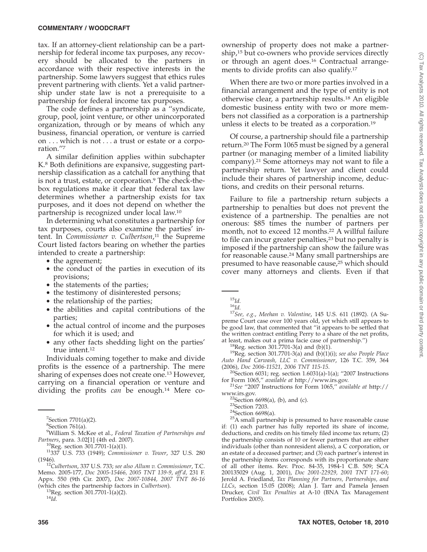#### **COMMENTARY / WOODCRAFT**

tax. If an attorney-client relationship can be a partnership for federal income tax purposes, any recovery should be allocated to the partners in accordance with their respective interests in the partnership. Some lawyers suggest that ethics rules prevent partnering with clients. Yet a valid partnership under state law is not a prerequisite to a partnership for federal income tax purposes.

The code defines a partnership as a ''syndicate, group, pool, joint venture, or other unincorporated organization, through or by means of which any business, financial operation, or venture is carried on . . . which is not . . . a trust or estate or a corporation.''7

A similar definition applies within subchapter K.8 Both definitions are expansive, suggesting partnership classification as a catchall for anything that is not a trust, estate, or corporation.<sup>9</sup> The check-thebox regulations make it clear that federal tax law determines whether a partnership exists for tax purposes, and it does not depend on whether the partnership is recognized under local law.10

In determining what constitutes a partnership for tax purposes, courts also examine the parties' intent. In *Commissioner v. Culbertson*, <sup>11</sup> the Supreme Court listed factors bearing on whether the parties intended to create a partnership:

- the agreement;
- the conduct of the parties in execution of its provisions;
- the statements of the parties;
- the testimony of disinterested persons;
- the relationship of the parties;
- the abilities and capital contributions of the parties;
- the actual control of income and the purposes for which it is used; and
- any other facts shedding light on the parties' true intent.<sup>12</sup>

Individuals coming together to make and divide profits is the essence of a partnership. The mere sharing of expenses does not create one.<sup>13</sup> However, carrying on a financial operation or venture and dividing the profits *can* be enough.14 Mere co-

(which cites the partnership factors in *Culbertson*). 13Reg. section 301.7701-1(a)(2). <sup>14</sup>*Id.*

ownership of property does not make a partnership,15 but co-owners who provide services directly or through an agent does.16 Contractual arrangements to divide profits can also qualify.<sup>17</sup>

When there are two or more parties involved in a financial arrangement and the type of entity is not otherwise clear, a partnership results.18 An eligible domestic business entity with two or more members not classified as a corporation is a partnership unless it elects to be treated as a corporation.19

Of course, a partnership should file a partnership return.20 The Form 1065 must be signed by a general partner (or managing member of a limited liability company).21 Some attorneys may not want to file a partnership return. Yet lawyer and client could include their shares of partnership income, deductions, and credits on their personal returns.

Failure to file a partnership return subjects a partnership to penalties but does not prevent the existence of a partnership. The penalties are not onerous: \$85 times the number of partners per month, not to exceed 12 months.<sup>22</sup> A willful failure to file can incur greater penalties,<sup>23</sup> but no penalty is imposed if the partnership can show the failure was for reasonable cause.24 Many small partnerships are presumed to have reasonable cause,25 which should cover many attorneys and clients. Even if that

<sup>15</sup>*Id.* <sup>16</sup>*Id.* <sup>17</sup>*See, e.g.*, *Meehan v. Valentine*, 145 U.S. 611 (1892). (A Supreme Court case over 100 years old, yet which still appears to be good law, that commented that ''it appears to be settled that the written contract entitling Perry to a share of the net profits, at least, makes out a prima facie case of partnership.")

<sup>18</sup>Reg. section 301.7701-3(a) and (b)(1).<br><sup>19</sup>Reg. section 301.7701-3(a) and (b)(1)(i); *see also People Place Auto Hand Carwash, LLC v. Commissioner*, 126 T.C. 359, 364

<sup>20</sup>Section 6031; reg. section 1.6031(a)-1(a); "2007 Instructions for Form 1065," *available at* http://www.irs.gov.

for Form 1065,'' *available at* http://www.irs.gov. <sup>21</sup>*See* ''2007 Instructions for Form 1065,'' *available at* http://

www.irs.gov.<br><sup>22</sup>Section 6698(a), (b), and (c).<br><sup>23</sup>Section 7203.<br><sup>24</sup>Section 6698(a).<br><sup>25</sup>A small partnership is presumed to have reasonable cause if: (1) each partner has fully reported its share of income, deductions, and credits on his timely filed income tax return; (2) the partnership consists of 10 or fewer partners that are either individuals (other than nonresident aliens), a C corporation, or an estate of a deceased partner; and (3) each partner's interest in the partnership items corresponds with its proportionate share of all other items. Rev. Proc. 84-35, 1984-1 C.B. 509; SCA 200135029 (Aug. 1, 2001), *Doc 2001-22929, 2001 TNT 171-60*; Jerold A. Friedland, *Tax Planning for Partners, Partnerships, and LLCs*, section 15.05 (2008); Alan J. Tarr and Pamela Jensen Drucker, *Civil Tax Penalties* at A-10 (BNA Tax Management Portfolios 2005).

 $7$ Section 7701(a)(2).

<sup>8</sup> Section 761(a).

<sup>9</sup> William S. McKee et al., *Federal Taxation of Partnerships and Partners, para.* 3.02[1] (4th ed. 2007).<br><sup>10</sup>Reg. section 301.7701-1(a)(1).<br><sup>11</sup>337 U.S. 733 (1949); *Commissioner v. Tower*, 327 U.S. 280

<sup>(1946).</sup> <sup>12</sup>*Culbertson*, 337 U.S. 733; *see also Allum v. Commissioner*, T.C. Memo. 2005-177, *Doc 2005-15466, 2005 TNT 139-9*, *aff'd,* 231 F.

Appx. 550 (9th Cir. 2007), *Doc 2007-10844, 2007 TNT 86-16*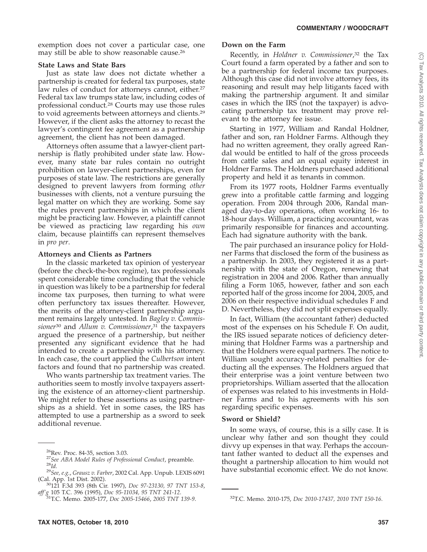exemption does not cover a particular case, one may still be able to show reasonable cause.26

## **State Laws and State Bars**

Just as state law does not dictate whether a partnership is created for federal tax purposes, state law rules of conduct for attorneys cannot, either.<sup>27</sup> Federal tax law trumps state law, including codes of professional conduct.28 Courts may use those rules to void agreements between attorneys and clients.29 However, if the client asks the attorney to recast the lawyer's contingent fee agreement as a partnership agreement, the client has not been damaged.

Attorneys often assume that a lawyer-client partnership is flatly prohibited under state law. However, many state bar rules contain no outright prohibition on lawyer-client partnerships, even for purposes of state law. The restrictions are generally designed to prevent lawyers from forming *other* businesses with clients, not a venture pursuing the legal matter on which they are working. Some say the rules prevent partnerships in which the client might be practicing law. However, a plaintiff cannot be viewed as practicing law regarding his *own* claim, because plaintiffs can represent themselves in *pro per*.

## **Attorneys and Clients as Partners**

In the classic marketed tax opinion of yesteryear (before the check-the-box regime), tax professionals spent considerable time concluding that the vehicle in question was likely to be a partnership for federal income tax purposes, then turning to what were often perfunctory tax issues thereafter. However, the merits of the attorney-client partnership argument remains largely untested. In *Bagley v. Commissioner*<sup>30</sup> and *Allum v. Commissioner*, <sup>31</sup> the taxpayers argued the presence of a partnership, but neither presented any significant evidence that he had intended to create a partnership with his attorney. In each case, the court applied the *Culbertson* intent factors and found that no partnership was created.

Who wants partnership tax treatment varies. The authorities seem to mostly involve taxpayers asserting the existence of an attorney-client partnership. We might refer to these assertions as using partnerships as a shield. Yet in some cases, the IRS has attempted to use a partnership as a sword to seek additional revenue.

## **Down on the Farm**

Recently, in *Holdner v. Commissioner*, <sup>32</sup> the Tax Court found a farm operated by a father and son to be a partnership for federal income tax purposes. Although this case did not involve attorney fees, its reasoning and result may help litigants faced with making the partnership argument. It and similar cases in which the IRS (not the taxpayer) is advocating partnership tax treatment may prove relevant to the attorney fee issue.

Starting in 1977, William and Randal Holdner, father and son, ran Holdner Farms. Although they had no written agreement, they orally agreed Randal would be entitled to half of the gross proceeds from cattle sales and an equal equity interest in Holdner Farms. The Holdners purchased additional property and held it as tenants in common.

From its 1977 roots, Holdner Farms eventually grew into a profitable cattle farming and logging operation. From 2004 through 2006, Randal managed day-to-day operations, often working 16- to 18-hour days. William, a practicing accountant, was primarily responsible for finances and accounting. Each had signature authority with the bank.

The pair purchased an insurance policy for Holdner Farms that disclosed the form of the business as a partnership. In 2003, they registered it as a partnership with the state of Oregon, renewing that registration in 2004 and 2006. Rather than annually filing a Form 1065, however, father and son each reported half of the gross income for 2004, 2005, and 2006 on their respective individual schedules F and D. Nevertheless, they did not split expenses equally.

In fact, William (the accountant father) deducted most of the expenses on his Schedule F. On audit, the IRS issued separate notices of deficiency determining that Holdner Farms was a partnership and that the Holdners were equal partners. The notice to William sought accuracy-related penalties for deducting all the expenses. The Holdners argued that their enterprise was a joint venture between two proprietorships. William asserted that the allocation of expenses was related to his investments in Holdner Farms and to his agreements with his son regarding specific expenses.

## **Sword or Shield?**

In some ways, of course, this is a silly case. It is unclear why father and son thought they could divvy up expenses in that way. Perhaps the accountant father wanted to deduct all the expenses and thought a partnership allocation to him would not have substantial economic effect. We do not know.

<sup>&</sup>lt;sup>26</sup>Rev. Proc. 84-35, section 3.03.<br><sup>27</sup>*See ABA Model Rules of Professional Conduct*, preamble.<br><sup>28</sup>*Id.* <sup>29</sup>*See, e.g.*, *Grausz v. Farber*, 2002 Cal. App. Unpub. LEXIS 6091 (Cal. App. 1st Dist. 2002).

<sup>&</sup>lt;sup>30</sup>121 F.3d 393 (8th Cir. 1997), *Doc 97-23130, 97 TNT 153-8*,

*aff'*<sub>g</sub> 105 T.C. 396 (1995), *Doc 95-11034, 95 TNT 241-12*. 32T.C. Memo. 2010-175, *Doc 2010-17437, 2010 TNT 150-16*. 3<sup>32</sup>T.C. Memo. 2010-17437, 2010 TNT 150-16.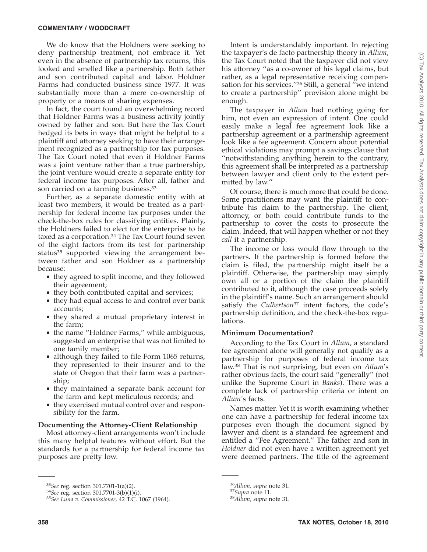#### **COMMENTARY / WOODCRAFT**

We do know that the Holdners were seeking to deny partnership treatment, not embrace it. Yet even in the absence of partnership tax returns, this looked and smelled like a partnership. Both father and son contributed capital and labor. Holdner Farms had conducted business since 1977. It was substantially more than a mere co-ownership of property or a means of sharing expenses.

In fact, the court found an overwhelming record that Holdner Farms was a business activity jointly owned by father and son. But here the Tax Court hedged its bets in ways that might be helpful to a plaintiff and attorney seeking to have their arrangement recognized as a partnership for tax purposes. The Tax Court noted that even if Holdner Farms was a joint venture rather than a true partnership, the joint venture would create a separate entity for federal income tax purposes. After all, father and son carried on a farming business.<sup>33</sup>

Further, as a separate domestic entity with at least two members, it would be treated as a partnership for federal income tax purposes under the check-the-box rules for classifying entities. Plainly, the Holdners failed to elect for the enterprise to be taxed as a corporation.<sup>34</sup> The Tax Court found seven of the eight factors from its test for partnership status<sup>35</sup> supported viewing the arrangement between father and son Holdner as a partnership because:

- they agreed to split income, and they followed their agreement;
- they both contributed capital and services;
- they had equal access to and control over bank accounts;
- they shared a mutual proprietary interest in the farm;
- the name "Holdner Farms," while ambiguous, suggested an enterprise that was not limited to one family member;
- although they failed to file Form 1065 returns, they represented to their insurer and to the state of Oregon that their farm was a partnership;
- they maintained a separate bank account for the farm and kept meticulous records; and
- they exercised mutual control over and responsibility for the farm.

#### **Documenting the Attorney-Client Relationship**

Most attorney-client arrangements won't include this many helpful features without effort. But the standards for a partnership for federal income tax purposes are pretty low.

Intent is understandably important. In rejecting the taxpayer's de facto partnership theory in *Allum*, the Tax Court noted that the taxpayer did not view his attorney ''as a co-owner of his legal claims, but rather, as a legal representative receiving compensation for his services."<sup>36</sup> Still, a general "we intend to create a partnership'' provision alone might be enough.

The taxpayer in *Allum* had nothing going for him, not even an expression of intent. One could easily make a legal fee agreement look like a partnership agreement or a partnership agreement look like a fee agreement. Concern about potential ethical violations may prompt a savings clause that ''notwithstanding anything herein to the contrary, this agreement shall be interpreted as a partnership between lawyer and client only to the extent permitted by law.''

Of course, there is much more that could be done. Some practitioners may want the plaintiff to contribute his claim to the partnership. The client, attorney, or both could contribute funds to the partnership to cover the costs to prosecute the claim. Indeed, that will happen whether or not they *call* it a partnership.

The income or loss would flow through to the partners. If the partnership is formed before the claim is filed, the partnership might itself be a plaintiff. Otherwise, the partnership may simply own all or a portion of the claim the plaintiff contributed to it, although the case proceeds solely in the plaintiff's name. Such an arrangement should satisfy the *Culbertson*<sup>37</sup> intent factors, the code's partnership definition, and the check-the-box regulations.

### **Minimum Documentation?**

According to the Tax Court in *Allum*, a standard fee agreement alone will generally not qualify as a partnership for purposes of federal income tax law.38 That is not surprising, but even on *Allum*'s rather obvious facts, the court said ''generally'' (not unlike the Supreme Court in *Banks*). There was a complete lack of partnership criteria or intent on *Allum'*s facts.

Names matter. Yet it is worth examining whether one can have a partnership for federal income tax purposes even though the document signed by lawyer and client is a standard fee agreement and entitled a ''Fee Agreement.'' The father and son in *Holdner* did not even have a written agreement yet were deemed partners. The title of the agreement

<sup>33</sup>*See* reg. section 301.7701-1(a)(2). <sup>34</sup>*See* reg. section 301.7701-3(b)(1)(i). <sup>35</sup>*See Luna v. Commissioner*, 42 T.C. 1067 (1964).

<sup>36</sup>*Allum*, *supra* note 31. <sup>37</sup>*Supra* note 11. <sup>38</sup>*Allum*, *supra* note 31.